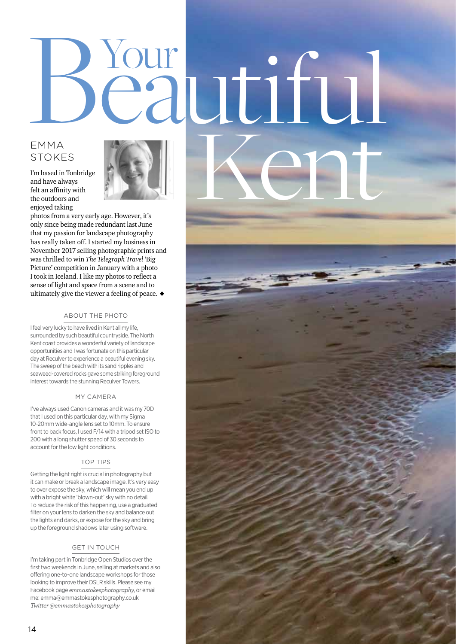# Beautiful EMMA<br>STOKES<br>
Tm based in Tonbridge<br>and have always<br>telt an affinity with<br>the outdoors and<br>photos from a very early age. However, it's STOKES

I'm based in Tonbridge and have always felt an affinity with the outdoors and enjoyed taking



photos from a very early age. However, it's only since being made redundant last June that my passion for landscape photography has really taken off. I started my business in November 2017 selling photographic prints and was thrilled to win *The Telegraph Travel* 'Big Picture' competition in January with a photo I took in Iceland. I like my photos to reflect a sense of light and space from a scene and to ultimately give the viewer a feeling of peace.  $\blacklozenge$ 

# ABOUT THE PHOTO

I feel very lucky to have lived in Kent all my life, surrounded by such beautiful countryside. The North Kent coast provides a wonderful variety of landscape opportunities and I was fortunate on this particular day at Reculver to experience a beautiful evening sky. The sweep of the beach with its sand ripples and seaweed-covered rocks gave some striking foreground interest towards the stunning Reculver Towers.

### MY CAMERA

I've always used Canon cameras and it was my 70D that I used on this particular day, with my Sigma 10-20mm wide-angle lens set to 10mm. To ensure front to back focus, I used F/14 with a tripod set ISO to 200 with a long shutter speed of 30 seconds to account for the low light conditions.

### TOP TIPS

Getting the light right is crucial in photography but it can make or break a landscape image. It's very easy to over expose the sky, which will mean you end up with a bright white 'blown-out' sky with no detail. To reduce the risk of this happening, use a graduated filter on your lens to darken the sky and balance out the lights and darks, or expose for the sky and bring up the foreground shadows later using software.

# GET IN TOUCH

I'm taking part in Tonbridge Open Studios over the first two weekends in June, selling at markets and also offering one-to-one landscape workshops for those looking to improve their DSLR skills. Please see my Facebook page *emmastokesphotography*, or email me: emma@emmastokesphotography.co.uk *Twitter @emmastokesphotography*